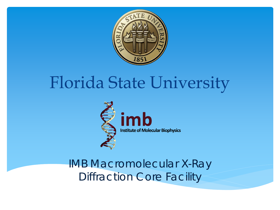

# Florida State University



IMB Macromolecular X-Ray Diffraction Core Facility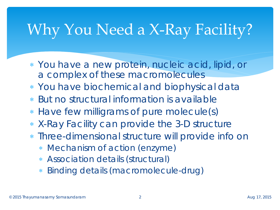# Why You Need a X-Ray Facility?

- ∗ You have a new protein, nucleic acid, lipid, or a complex of these macromolecules
- ∗ You have biochemical and biophysical data
- ∗ But no structural information is available
- ∗ Have few milligrams of pure molecule(s)
- ∗ X-Ray Facility can provide the 3-D structure
- ∗ Three-dimensional structure will provide info on
	- ∗ Mechanism of action (enzyme)
	- ∗ Association details (structural)
	- ∗ Binding details (macromolecule-drug)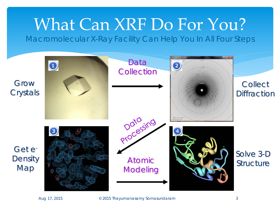# What Can XRF Do For You?

Macromolecular X-Ray Facility Can Help You In All Four Steps

Grow **Crystals** 

Map

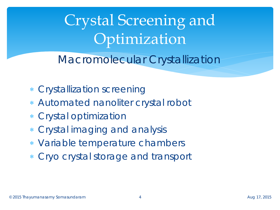Crystal Screening and Optimization

Macromolecular Crystallization

- ∗ Crystallization screening
- ∗ Automated nanoliter crystal robot
- ∗ Crystal optimization
- ∗ Crystal imaging and analysis
- ∗ Variable temperature chambers
- ∗ Cryo crystal storage and transport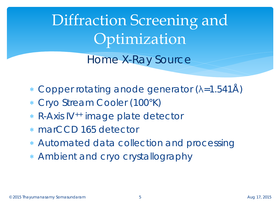Diffraction Screening and Optimization

Home X-Ray Source

- ∗ Copper rotating anode generator (λ=1.541Å)
- ∗ Cryo Stream Cooler (100°K)
- ∗ R-Axis IV++ image plate detector
- ∗ marCCD 165 detector
- ∗ Automated data collection and processing
- ∗ Ambient and cryo crystallography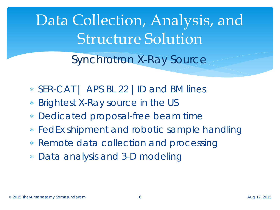Data Collection, Analysis, and Structure Solution

Synchrotron X-Ray Source

- ∗ SER-CAT | APS BL 22 |ID and BM lines
- Brightest X-Ray source in the US
- Dedicated proposal-free beam time
- ∗ FedEx shipment and robotic sample handling
- ∗ Remote data collection and processing
- ∗ Data analysis and 3-D modeling